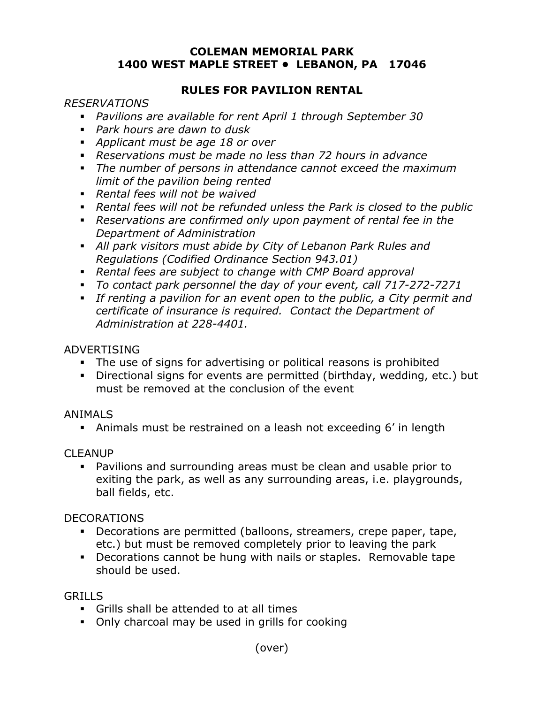#### **COLEMAN MEMORIAL PARK 1400 WEST MAPLE STREET • LEBANON, PA 17046**

#### **RULES FOR PAVILION RENTAL**

#### *RESERVATIONS*

- *Pavilions are available for rent April 1 through September 30*
- *Park hours are dawn to dusk*
- *Applicant must be age 18 or over*
- *Reservations must be made no less than 72 hours in advance*
- *The number of persons in attendance cannot exceed the maximum limit of the pavilion being rented*
- *Rental fees will not be waived*
- *Rental fees will not be refunded unless the Park is closed to the public*
- *Reservations are confirmed only upon payment of rental fee in the Department of Administration*
- *All park visitors must abide by City of Lebanon Park Rules and Regulations (Codified Ordinance Section 943.01)*
- *Rental fees are subject to change with CMP Board approval*
- *To contact park personnel the day of your event, call 717-272-7271*
- *If renting a pavilion for an event open to the public, a City permit and certificate of insurance is required. Contact the Department of Administration at 228-4401.*

#### ADVERTISING

- The use of signs for advertising or political reasons is prohibited
- Directional signs for events are permitted (birthday, wedding, etc.) but must be removed at the conclusion of the event

#### ANIMALS

Animals must be restrained on a leash not exceeding 6' in length

## CLEANUP

 Pavilions and surrounding areas must be clean and usable prior to exiting the park, as well as any surrounding areas, i.e. playgrounds, ball fields, etc.

## DECORATIONS

- Decorations are permitted (balloons, streamers, crepe paper, tape, etc.) but must be removed completely prior to leaving the park
- Decorations cannot be hung with nails or staples. Removable tape should be used.

## **GRILLS**

- Grills shall be attended to at all times
- Only charcoal may be used in grills for cooking